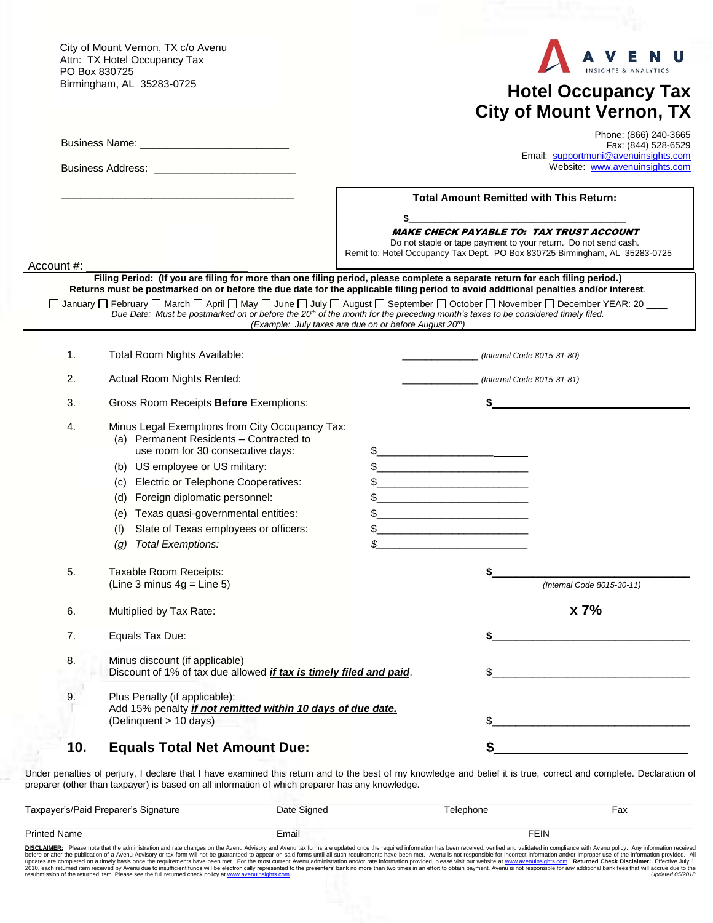City of Mount Vernon, TX c/o Avenu Attn: TX Hotel Occupancy Tax PO Box 830725 Birmingham, AL 35283-0725



## **Hotel Occupancy Tax City of Mount Vernon, TX**

|            |                                                                                                                                                                                                                                                                                                                                                                                                    | Phone: (866) 240-3665<br>Fax: (844) 528-6529<br>Email: supportmuni@avenuinsights.com<br>Website: www.avenuinsights.com |                                                                                                                                                                                                                                                                                                                                                                                                                                                                                                                                                                                                                                                                                                                                                                                                                                                                                                                                                                                                                                                                                                                                                                                                                                    |                                                                                                                                                                                                   |
|------------|----------------------------------------------------------------------------------------------------------------------------------------------------------------------------------------------------------------------------------------------------------------------------------------------------------------------------------------------------------------------------------------------------|------------------------------------------------------------------------------------------------------------------------|------------------------------------------------------------------------------------------------------------------------------------------------------------------------------------------------------------------------------------------------------------------------------------------------------------------------------------------------------------------------------------------------------------------------------------------------------------------------------------------------------------------------------------------------------------------------------------------------------------------------------------------------------------------------------------------------------------------------------------------------------------------------------------------------------------------------------------------------------------------------------------------------------------------------------------------------------------------------------------------------------------------------------------------------------------------------------------------------------------------------------------------------------------------------------------------------------------------------------------|---------------------------------------------------------------------------------------------------------------------------------------------------------------------------------------------------|
|            |                                                                                                                                                                                                                                                                                                                                                                                                    | <b>Total Amount Remitted with This Return:</b>                                                                         |                                                                                                                                                                                                                                                                                                                                                                                                                                                                                                                                                                                                                                                                                                                                                                                                                                                                                                                                                                                                                                                                                                                                                                                                                                    |                                                                                                                                                                                                   |
| Account #: |                                                                                                                                                                                                                                                                                                                                                                                                    | \$                                                                                                                     |                                                                                                                                                                                                                                                                                                                                                                                                                                                                                                                                                                                                                                                                                                                                                                                                                                                                                                                                                                                                                                                                                                                                                                                                                                    | <b>MAKE CHECK PAYABLE TO: TAX TRUST ACCOUNT</b><br>Do not staple or tape payment to your return. Do not send cash.<br>Remit to: Hotel Occupancy Tax Dept. PO Box 830725 Birmingham, AL 35283-0725 |
|            | Filing Period: (If you are filing for more than one filing period, please complete a separate return for each filing period.)<br>Returns must be postmarked on or before the due date for the applicable filing period to avoid additional penalties and/or interest.                                                                                                                              |                                                                                                                        |                                                                                                                                                                                                                                                                                                                                                                                                                                                                                                                                                                                                                                                                                                                                                                                                                                                                                                                                                                                                                                                                                                                                                                                                                                    |                                                                                                                                                                                                   |
|            | □ January □ February □ March □ April □ May □ June □ July □ August □ September □ October □ November □ December YEAR: 20 ____<br>Due Date: Must be postmarked on or before the $20th$ of the month for the preceding month's taxes to be considered timely filed.                                                                                                                                    | (Example: July taxes are due on or before August 20th)                                                                 |                                                                                                                                                                                                                                                                                                                                                                                                                                                                                                                                                                                                                                                                                                                                                                                                                                                                                                                                                                                                                                                                                                                                                                                                                                    |                                                                                                                                                                                                   |
| 1.         | Total Room Nights Available:                                                                                                                                                                                                                                                                                                                                                                       |                                                                                                                        | (Internal Code 8015-31-80)                                                                                                                                                                                                                                                                                                                                                                                                                                                                                                                                                                                                                                                                                                                                                                                                                                                                                                                                                                                                                                                                                                                                                                                                         |                                                                                                                                                                                                   |
| 2.         | Actual Room Nights Rented:                                                                                                                                                                                                                                                                                                                                                                         |                                                                                                                        | (Internal Code 8015-31-81)                                                                                                                                                                                                                                                                                                                                                                                                                                                                                                                                                                                                                                                                                                                                                                                                                                                                                                                                                                                                                                                                                                                                                                                                         |                                                                                                                                                                                                   |
| 3.         | Gross Room Receipts <b>Before</b> Exemptions:                                                                                                                                                                                                                                                                                                                                                      |                                                                                                                        |                                                                                                                                                                                                                                                                                                                                                                                                                                                                                                                                                                                                                                                                                                                                                                                                                                                                                                                                                                                                                                                                                                                                                                                                                                    |                                                                                                                                                                                                   |
| 4.         | Minus Legal Exemptions from City Occupancy Tax:<br>(a) Permanent Residents - Contracted to<br>use room for 30 consecutive days:<br>(b) US employee or US military:<br>Electric or Telephone Cooperatives:<br>(C)<br>(d) Foreign diplomatic personnel:<br>Texas quasi-governmental entities:<br>(e)<br>State of Texas employees or officers:<br>(f)<br><b>Total Exemptions:</b><br>$\left(g\right)$ |                                                                                                                        | $\begin{tabular}{ c c c c } \hline $${\sf S}$ & $\hspace{1cm} & $\hspace{1cm}$ & $\hspace{1cm}$ & $\hspace{1cm}$ & $\hspace{1cm}$ & $\hspace{1cm}$ & $\hspace{1cm}$ & $\hspace{1cm}$ & $\hspace{1cm}$ & $\hspace{1cm}$ & $\hspace{1cm}$ & $\hspace{1cm}$ & $\hspace{1cm}$ & $\hspace{1cm}$ & $\hspace{1cm}$ & $\hspace{1cm}$ & $\hspace{1cm}$ & $\hspace{1cm}$ & $\hspace{1cm}$ & $\hspace{1cm}$ & $\hspace{1cm}$ & $\hspace{1cm}$ & $\hspace{1cm}$ & $\hspace{1cm}$ & $\hs$<br>$\frac{1}{2}$ $\frac{1}{2}$ $\frac{1}{2}$ $\frac{1}{2}$ $\frac{1}{2}$ $\frac{1}{2}$ $\frac{1}{2}$ $\frac{1}{2}$ $\frac{1}{2}$ $\frac{1}{2}$ $\frac{1}{2}$ $\frac{1}{2}$ $\frac{1}{2}$ $\frac{1}{2}$ $\frac{1}{2}$ $\frac{1}{2}$ $\frac{1}{2}$ $\frac{1}{2}$ $\frac{1}{2}$ $\frac{1}{2}$ $\frac{1}{2}$ $\frac{1}{2}$<br>$\begin{tabular}{ c c c c } \hline $5$ & \quad \quad & \quad \quad & \quad \quad & \quad \quad \\ \hline \end{tabular}$<br><u> 1989 - Johann John Stein, mars et al. (</u><br><u> 1989 - Johann Harry Harry Harry Harry Harry Harry Harry Harry Harry Harry Harry Harry Harry Harry Harry Harry</u><br><u> 1990 - Johann John Stone, markin film ar yn y brenin y brenin y brenin y brenin y brenin y brenin y brenin y</u> |                                                                                                                                                                                                   |
| 5.         | Taxable Room Receipts:<br>(Line 3 minus $4g =$ Line 5)                                                                                                                                                                                                                                                                                                                                             |                                                                                                                        |                                                                                                                                                                                                                                                                                                                                                                                                                                                                                                                                                                                                                                                                                                                                                                                                                                                                                                                                                                                                                                                                                                                                                                                                                                    | (Internal Code 8015-30-11)                                                                                                                                                                        |
| 6.         | Multiplied by Tax Rate:                                                                                                                                                                                                                                                                                                                                                                            |                                                                                                                        |                                                                                                                                                                                                                                                                                                                                                                                                                                                                                                                                                                                                                                                                                                                                                                                                                                                                                                                                                                                                                                                                                                                                                                                                                                    | x 7%                                                                                                                                                                                              |
| 7.         | Equals Tax Due:                                                                                                                                                                                                                                                                                                                                                                                    |                                                                                                                        |                                                                                                                                                                                                                                                                                                                                                                                                                                                                                                                                                                                                                                                                                                                                                                                                                                                                                                                                                                                                                                                                                                                                                                                                                                    |                                                                                                                                                                                                   |
| 8.         | Minus discount (if applicable)<br>Discount of 1% of tax due allowed <i>if tax is timely filed and paid</i> .                                                                                                                                                                                                                                                                                       |                                                                                                                        | \$                                                                                                                                                                                                                                                                                                                                                                                                                                                                                                                                                                                                                                                                                                                                                                                                                                                                                                                                                                                                                                                                                                                                                                                                                                 |                                                                                                                                                                                                   |
| 9.         | Plus Penalty (if applicable):<br>Add 15% penalty <i>if not remitted within 10 days of due date.</i><br>(Delinquent > 10 days)                                                                                                                                                                                                                                                                      |                                                                                                                        | \$                                                                                                                                                                                                                                                                                                                                                                                                                                                                                                                                                                                                                                                                                                                                                                                                                                                                                                                                                                                                                                                                                                                                                                                                                                 |                                                                                                                                                                                                   |
| 10.        | <b>Equals Total Net Amount Due:</b>                                                                                                                                                                                                                                                                                                                                                                |                                                                                                                        |                                                                                                                                                                                                                                                                                                                                                                                                                                                                                                                                                                                                                                                                                                                                                                                                                                                                                                                                                                                                                                                                                                                                                                                                                                    |                                                                                                                                                                                                   |

Under penalties of perjury, I declare that I have examined this return and to the best of my knowledge and belief it is true, correct and complete. Declaration of preparer (other than taxpayer) is based on all information of which preparer has any knowledge.

| Taxpayer's/Paid Preparer's Signature                                                                                                                                                                                                                                                                                                                                                                                                                             | Date Signed | Telephone   | Fax |
|------------------------------------------------------------------------------------------------------------------------------------------------------------------------------------------------------------------------------------------------------------------------------------------------------------------------------------------------------------------------------------------------------------------------------------------------------------------|-------------|-------------|-----|
| <b>Printed Name</b>                                                                                                                                                                                                                                                                                                                                                                                                                                              | Email       | <b>FEIN</b> |     |
| DISCLAIMER: Please note that the administration and rate changes on the Avenu Advisory and Avenu tax forms are updated once the required information has been received, verified and validated in compliance with Avenu policy<br>before ar after the publication of a Avenu Advisory or tax form will not be quaranteed to appear on said forms until all such requirements baye been met. Ayenu is not responsible for incernot information and/or improper us |             |             |     |

before or after the publication of a Avenu Advisory or tax form will not be guaranteed to appear on said forms until all such requirements have been met. Avenu is not responsible for incorrect information and/or improper u